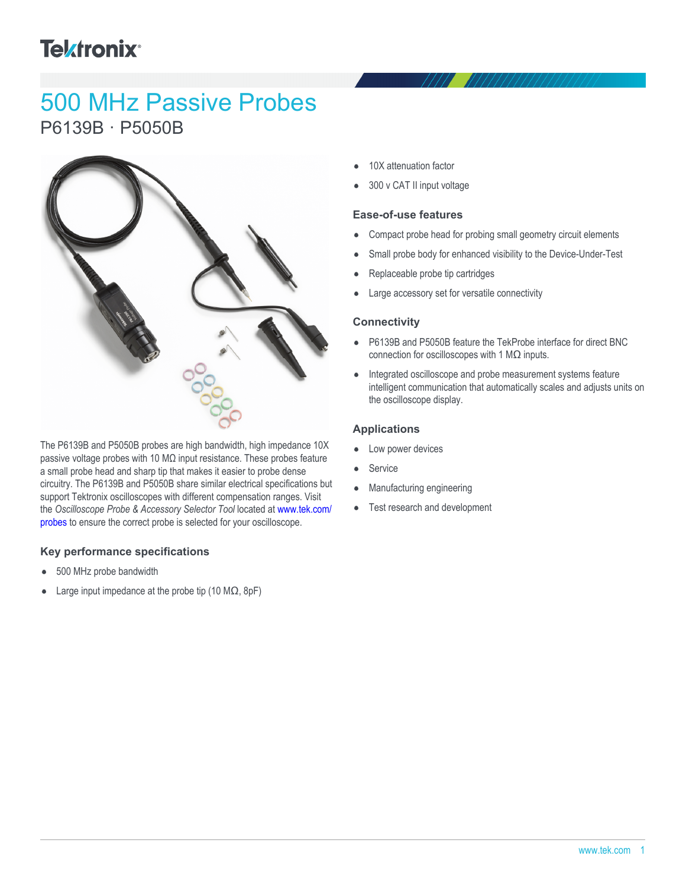# **Tektronix**<sup>®</sup>

## 500 MHz Passive Probes P6139B · P5050B



The P6139B and P5050B probes are high bandwidth, high impedance 10X passive voltage probes with 10 MΩ input resistance. These probes feature a small probe head and sharp tip that makes it easier to probe dense circuitry. The P6139B and P5050B share similar electrical specifications but support Tektronix oscilloscopes with different compensation ranges. Visit the *Oscilloscope Probe & Accessory Selector Tool* located at [www.tek.com/](http://www.tek.com/PROBES) [probes](http://www.tek.com/PROBES) to ensure the correct probe is selected for your oscilloscope.

#### **Key performance specifications**

- 500 MHz probe bandwidth
- Large input impedance at the probe tip (10 MΩ, 8pF)
- 10X attenuation factor
- 300 v CAT II input voltage

#### **Ease-of-use features**

- Compact probe head for probing small geometry circuit elements
- Small probe body for enhanced visibility to the Device-Under-Test
- Replaceable probe tip cartridges
- Large accessory set for versatile connectivity

#### **Connectivity**

- P6139B and P5050B feature the TekProbe interface for direct BNC connection for oscilloscopes with 1  $\text{M}\Omega$  inputs.
- $\bullet$ Integrated oscilloscope and probe measurement systems feature intelligent communication that automatically scales and adjusts units on the oscilloscope display.

#### **Applications**

- Low power devices  $\bullet$
- Service
- Manufacturing engineering
- Test research and development  $\bullet$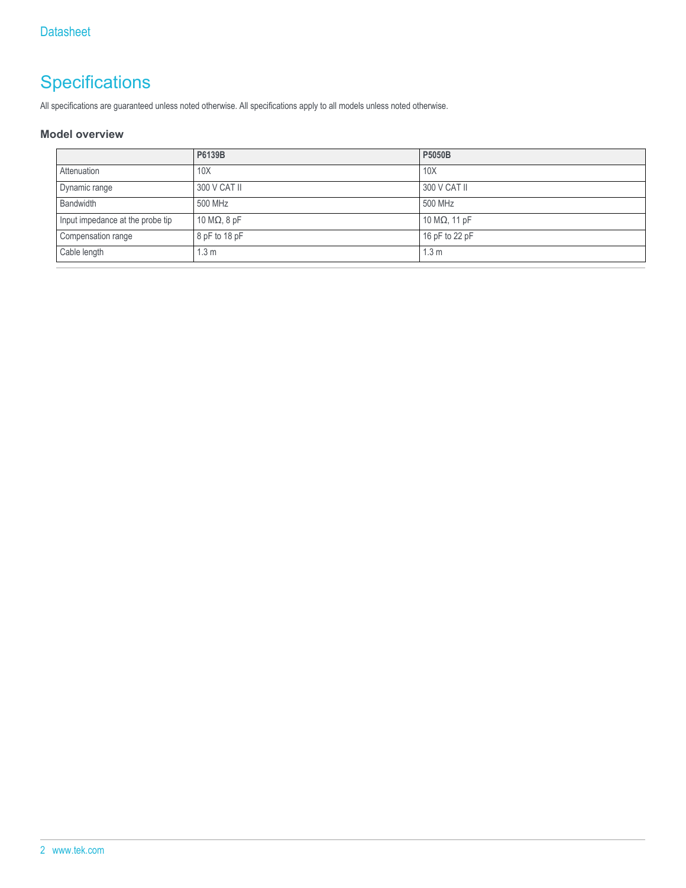## **Specifications**

All specifications are guaranteed unless noted otherwise. All specifications apply to all models unless noted otherwise.

#### **Model overview**

|                                  | P6139B               | P5050B                |
|----------------------------------|----------------------|-----------------------|
| Attenuation                      | 10 <sub>X</sub>      | 10X                   |
| Dynamic range                    | 300 V CAT II         | 300 V CAT II          |
| Bandwidth                        | 500 MHz              | 500 MHz               |
| Input impedance at the probe tip | 10 M $\Omega$ , 8 pF | 10 M $\Omega$ , 11 pF |
| Compensation range               | $8$ pF to 18 pF      | 16 pF to 22 pF        |
| Cable length                     | 1.3 <sub>m</sub>     | 1.3 <sub>m</sub>      |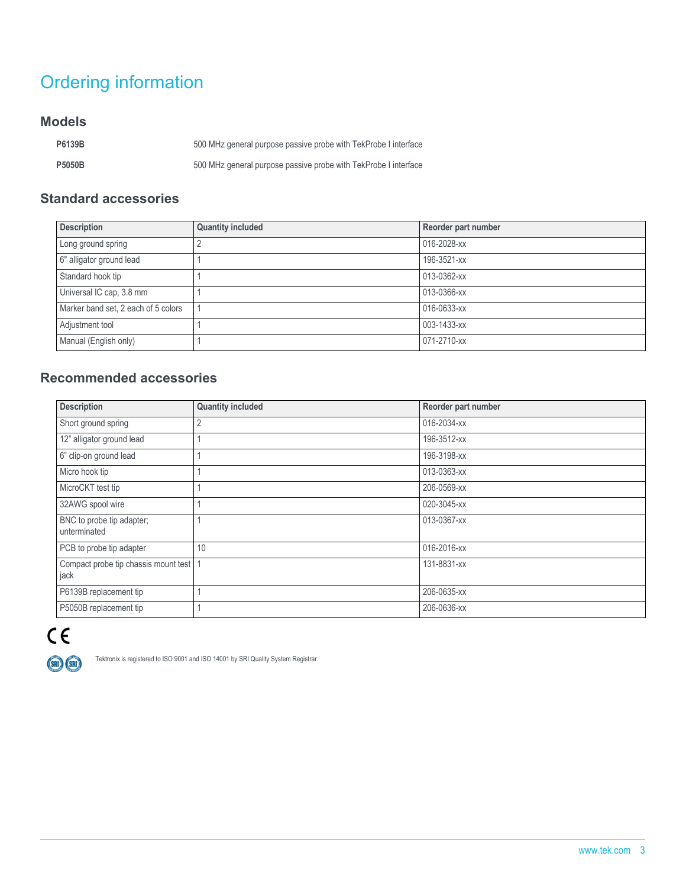## Ordering information

### **Models**

| P6139B        | 500 MHz general purpose passive probe with TekProbe I interface |
|---------------|-----------------------------------------------------------------|
| <b>P5050B</b> | 500 MHz general purpose passive probe with TekProbe I interface |

### **Standard accessories**

| <b>Description</b>                  | <b>Quantity included</b> | Reorder part number |
|-------------------------------------|--------------------------|---------------------|
| Long ground spring                  |                          | 016-2028-xx         |
| 6" alligator ground lead            |                          | 196-3521-xx         |
| Standard hook tip                   |                          | 013-0362-xx         |
| Universal IC cap, 3.8 mm            |                          | 013-0366-xx         |
| Marker band set, 2 each of 5 colors |                          | 016-0633-xx         |
| Adjustment tool                     |                          | 003-1433-xx         |
| Manual (English only)               |                          | 071-2710-xx         |

### **Recommended accessories**

| <b>Description</b>                               | <b>Quantity included</b> | Reorder part number |
|--------------------------------------------------|--------------------------|---------------------|
| Short ground spring                              | 2                        | 016-2034-xx         |
| 12" alligator ground lead                        |                          | 196-3512-xx         |
| 6" clip-on ground lead                           |                          | 196-3198-xx         |
| Micro hook tip                                   |                          | 013-0363-xx         |
| MicroCKT test tip                                |                          | 206-0569-xx         |
| 32AWG spool wire                                 |                          | 020-3045-xx         |
| BNC to probe tip adapter;<br>unterminated        |                          | 013-0367-xx         |
| PCB to probe tip adapter                         | 10                       | 016-2016-xx         |
| Compact probe tip chassis mount test   1<br>jack |                          | 131-8831-xx         |
| P6139B replacement tip                           |                          | 206-0635-xx         |
| P5050B replacement tip                           |                          | 206-0636-xx         |



Tektronix is registered to ISO 9001 and ISO 14001 by SRI Quality System Registrar.